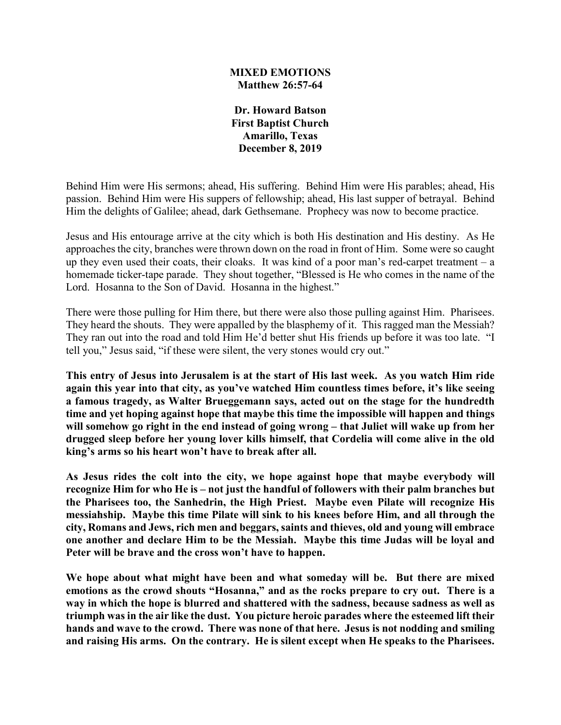## **MIXED EMOTIONS Matthew 26:57-64**

**Dr. Howard Batson First Baptist Church Amarillo, Texas December 8, 2019**

Behind Him were His sermons; ahead, His suffering. Behind Him were His parables; ahead, His passion. Behind Him were His suppers of fellowship; ahead, His last supper of betrayal. Behind Him the delights of Galilee; ahead, dark Gethsemane. Prophecy was now to become practice.

Jesus and His entourage arrive at the city which is both His destination and His destiny. As He approaches the city, branches were thrown down on the road in front of Him. Some were so caught up they even used their coats, their cloaks. It was kind of a poor man's red-carpet treatment – a homemade ticker-tape parade. They shout together, "Blessed is He who comes in the name of the Lord. Hosanna to the Son of David. Hosanna in the highest."

There were those pulling for Him there, but there were also those pulling against Him. Pharisees. They heard the shouts. They were appalled by the blasphemy of it. This ragged man the Messiah? They ran out into the road and told Him He'd better shut His friends up before it was too late. "I tell you," Jesus said, "if these were silent, the very stones would cry out."

**This entry of Jesus into Jerusalem is at the start of His last week. As you watch Him ride again this year into that city, as you've watched Him countless times before, it's like seeing a famous tragedy, as Walter Brueggemann says, acted out on the stage for the hundredth time and yet hoping against hope that maybe this time the impossible will happen and things will somehow go right in the end instead of going wrong – that Juliet will wake up from her drugged sleep before her young lover kills himself, that Cordelia will come alive in the old king's arms so his heart won't have to break after all.**

**As Jesus rides the colt into the city, we hope against hope that maybe everybody will recognize Him for who He is – not just the handful of followers with their palm branches but the Pharisees too, the Sanhedrin, the High Priest. Maybe even Pilate will recognize His messiahship. Maybe this time Pilate will sink to his knees before Him, and all through the city, Romans and Jews, rich men and beggars, saints and thieves, old and young will embrace one another and declare Him to be the Messiah. Maybe this time Judas will be loyal and Peter will be brave and the cross won't have to happen.** 

**We hope about what might have been and what someday will be. But there are mixed emotions as the crowd shouts "Hosanna," and as the rocks prepare to cry out. There is a way in which the hope is blurred and shattered with the sadness, because sadness as well as triumph was in the air like the dust. You picture heroic parades where the esteemed lift their hands and wave to the crowd. There was none of that here. Jesus is not nodding and smiling and raising His arms. On the contrary. He is silent except when He speaks to the Pharisees.**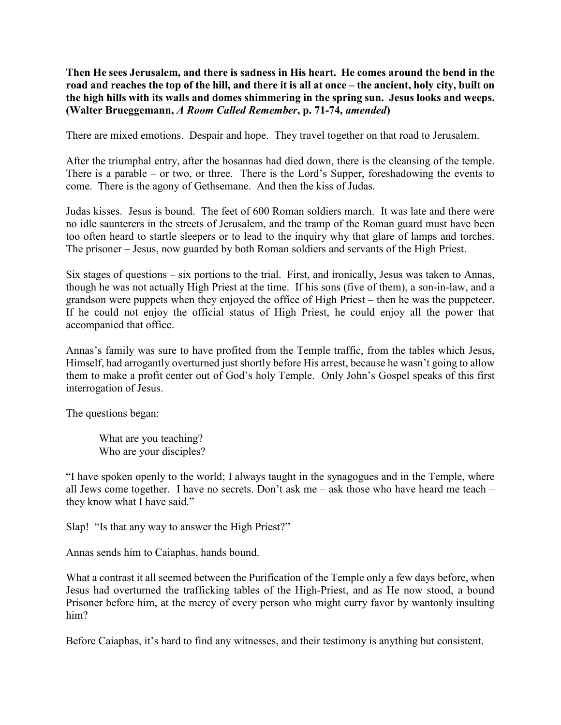**Then He sees Jerusalem, and there is sadness in His heart. He comes around the bend in the road and reaches the top of the hill, and there it is all at once – the ancient, holy city, built on the high hills with its walls and domes shimmering in the spring sun. Jesus looks and weeps. (Walter Brueggemann,** *A Room Called Remember***, p. 71-74,** *amended***)**

There are mixed emotions. Despair and hope. They travel together on that road to Jerusalem.

After the triumphal entry, after the hosannas had died down, there is the cleansing of the temple. There is a parable – or two, or three. There is the Lord's Supper, foreshadowing the events to come. There is the agony of Gethsemane. And then the kiss of Judas.

Judas kisses. Jesus is bound. The feet of 600 Roman soldiers march. It was late and there were no idle saunterers in the streets of Jerusalem, and the tramp of the Roman guard must have been too often heard to startle sleepers or to lead to the inquiry why that glare of lamps and torches. The prisoner – Jesus, now guarded by both Roman soldiers and servants of the High Priest.

Six stages of questions – six portions to the trial. First, and ironically, Jesus was taken to Annas, though he was not actually High Priest at the time. If his sons (five of them), a son-in-law, and a grandson were puppets when they enjoyed the office of High Priest – then he was the puppeteer. If he could not enjoy the official status of High Priest, he could enjoy all the power that accompanied that office.

Annas's family was sure to have profited from the Temple traffic, from the tables which Jesus, Himself, had arrogantly overturned just shortly before His arrest, because he wasn't going to allow them to make a profit center out of God's holy Temple. Only John's Gospel speaks of this first interrogation of Jesus.

The questions began:

What are you teaching? Who are your disciples?

"I have spoken openly to the world; I always taught in the synagogues and in the Temple, where all Jews come together. I have no secrets. Don't ask me – ask those who have heard me teach – they know what I have said."

Slap! "Is that any way to answer the High Priest?"

Annas sends him to Caiaphas, hands bound.

What a contrast it all seemed between the Purification of the Temple only a few days before, when Jesus had overturned the trafficking tables of the High-Priest, and as He now stood, a bound Prisoner before him, at the mercy of every person who might curry favor by wantonly insulting him?

Before Caiaphas, it's hard to find any witnesses, and their testimony is anything but consistent.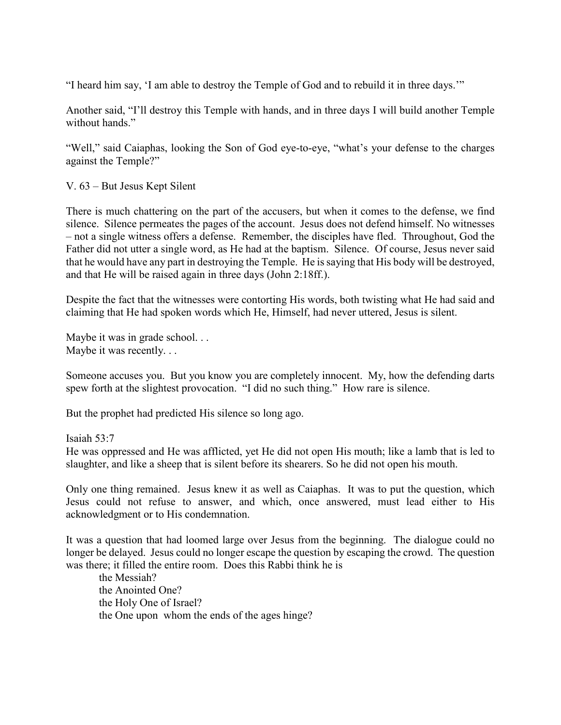"I heard him say, 'I am able to destroy the Temple of God and to rebuild it in three days.'"

Another said, "I'll destroy this Temple with hands, and in three days I will build another Temple without hands."

"Well," said Caiaphas, looking the Son of God eye-to-eye, "what's your defense to the charges against the Temple?"

V. 63 – But Jesus Kept Silent

There is much chattering on the part of the accusers, but when it comes to the defense, we find silence. Silence permeates the pages of the account. Jesus does not defend himself. No witnesses – not a single witness offers a defense. Remember, the disciples have fled. Throughout, God the Father did not utter a single word, as He had at the baptism. Silence. Of course, Jesus never said that he would have any part in destroying the Temple. He is saying that His body will be destroyed, and that He will be raised again in three days (John 2:18ff.).

Despite the fact that the witnesses were contorting His words, both twisting what He had said and claiming that He had spoken words which He, Himself, had never uttered, Jesus is silent.

Maybe it was in grade school... Maybe it was recently. . .

Someone accuses you. But you know you are completely innocent. My, how the defending darts spew forth at the slightest provocation. "I did no such thing." How rare is silence.

But the prophet had predicted His silence so long ago.

Isaiah 53:7

He was oppressed and He was afflicted, yet He did not open His mouth; like a lamb that is led to slaughter, and like a sheep that is silent before its shearers. So he did not open his mouth.

Only one thing remained. Jesus knew it as well as Caiaphas. It was to put the question, which Jesus could not refuse to answer, and which, once answered, must lead either to His acknowledgment or to His condemnation.

It was a question that had loomed large over Jesus from the beginning. The dialogue could no longer be delayed. Jesus could no longer escape the question by escaping the crowd. The question was there; it filled the entire room. Does this Rabbi think he is

the Messiah? the Anointed One? the Holy One of Israel? the One upon whom the ends of the ages hinge?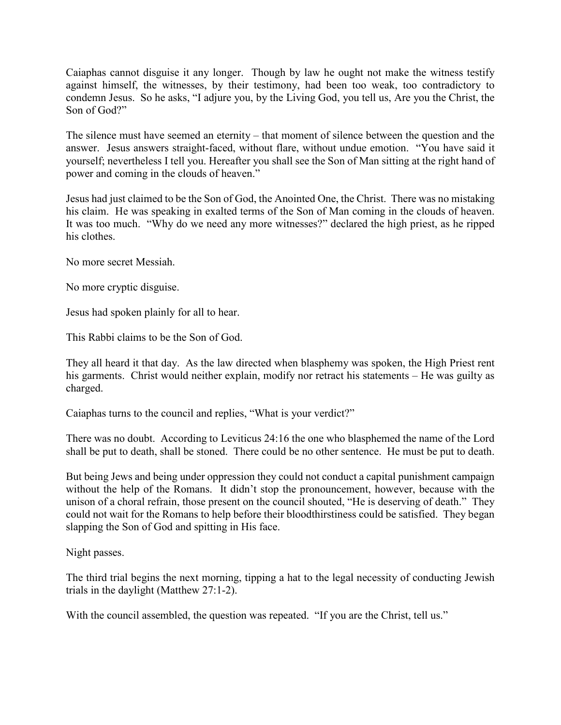Caiaphas cannot disguise it any longer. Though by law he ought not make the witness testify against himself, the witnesses, by their testimony, had been too weak, too contradictory to condemn Jesus. So he asks, "I adjure you, by the Living God, you tell us, Are you the Christ, the Son of God?"

The silence must have seemed an eternity – that moment of silence between the question and the answer. Jesus answers straight-faced, without flare, without undue emotion. "You have said it yourself; nevertheless I tell you. Hereafter you shall see the Son of Man sitting at the right hand of power and coming in the clouds of heaven."

Jesus had just claimed to be the Son of God, the Anointed One, the Christ. There was no mistaking his claim. He was speaking in exalted terms of the Son of Man coming in the clouds of heaven. It was too much. "Why do we need any more witnesses?" declared the high priest, as he ripped his clothes.

No more secret Messiah.

No more cryptic disguise.

Jesus had spoken plainly for all to hear.

This Rabbi claims to be the Son of God.

They all heard it that day. As the law directed when blasphemy was spoken, the High Priest rent his garments. Christ would neither explain, modify nor retract his statements – He was guilty as charged.

Caiaphas turns to the council and replies, "What is your verdict?"

There was no doubt. According to Leviticus 24:16 the one who blasphemed the name of the Lord shall be put to death, shall be stoned. There could be no other sentence. He must be put to death.

But being Jews and being under oppression they could not conduct a capital punishment campaign without the help of the Romans. It didn't stop the pronouncement, however, because with the unison of a choral refrain, those present on the council shouted, "He is deserving of death." They could not wait for the Romans to help before their bloodthirstiness could be satisfied. They began slapping the Son of God and spitting in His face.

Night passes.

The third trial begins the next morning, tipping a hat to the legal necessity of conducting Jewish trials in the daylight (Matthew 27:1-2).

With the council assembled, the question was repeated. "If you are the Christ, tell us."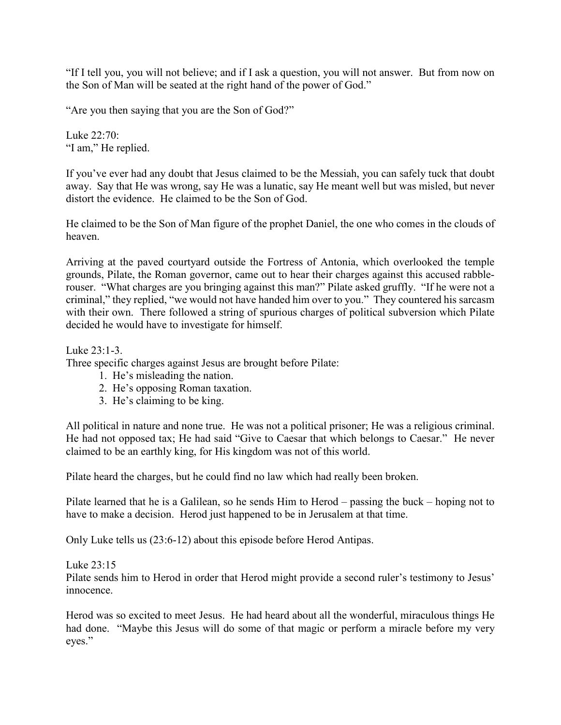"If I tell you, you will not believe; and if I ask a question, you will not answer. But from now on the Son of Man will be seated at the right hand of the power of God."

"Are you then saying that you are the Son of God?"

Luke 22:70: "I am," He replied.

If you've ever had any doubt that Jesus claimed to be the Messiah, you can safely tuck that doubt away. Say that He was wrong, say He was a lunatic, say He meant well but was misled, but never distort the evidence. He claimed to be the Son of God.

He claimed to be the Son of Man figure of the prophet Daniel, the one who comes in the clouds of heaven.

Arriving at the paved courtyard outside the Fortress of Antonia, which overlooked the temple grounds, Pilate, the Roman governor, came out to hear their charges against this accused rabblerouser. "What charges are you bringing against this man?" Pilate asked gruffly. "If he were not a criminal," they replied, "we would not have handed him over to you." They countered his sarcasm with their own. There followed a string of spurious charges of political subversion which Pilate decided he would have to investigate for himself.

Luke 23:1-3.

Three specific charges against Jesus are brought before Pilate:

- 1. He's misleading the nation.
- 2. He's opposing Roman taxation.
- 3. He's claiming to be king.

All political in nature and none true. He was not a political prisoner; He was a religious criminal. He had not opposed tax; He had said "Give to Caesar that which belongs to Caesar." He never claimed to be an earthly king, for His kingdom was not of this world.

Pilate heard the charges, but he could find no law which had really been broken.

Pilate learned that he is a Galilean, so he sends Him to Herod – passing the buck – hoping not to have to make a decision. Herod just happened to be in Jerusalem at that time.

Only Luke tells us (23:6-12) about this episode before Herod Antipas.

Luke 23:15

Pilate sends him to Herod in order that Herod might provide a second ruler's testimony to Jesus' innocence.

Herod was so excited to meet Jesus. He had heard about all the wonderful, miraculous things He had done. "Maybe this Jesus will do some of that magic or perform a miracle before my very eyes."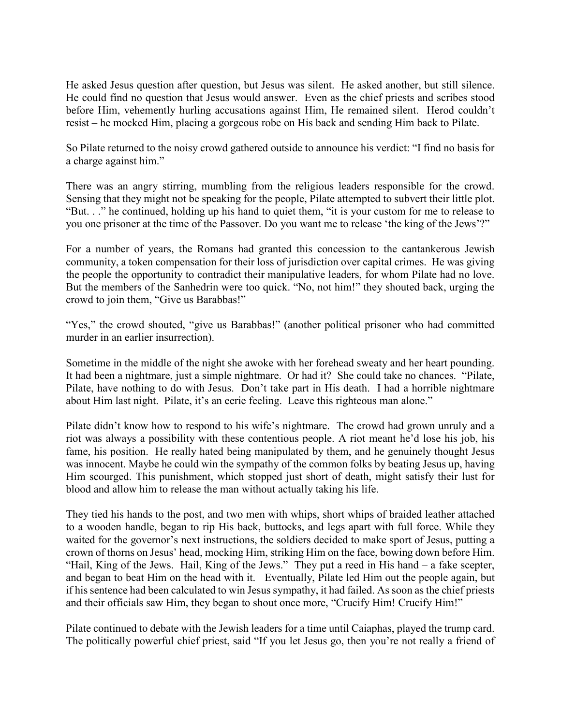He asked Jesus question after question, but Jesus was silent. He asked another, but still silence. He could find no question that Jesus would answer. Even as the chief priests and scribes stood before Him, vehemently hurling accusations against Him, He remained silent. Herod couldn't resist – he mocked Him, placing a gorgeous robe on His back and sending Him back to Pilate.

So Pilate returned to the noisy crowd gathered outside to announce his verdict: "I find no basis for a charge against him."

There was an angry stirring, mumbling from the religious leaders responsible for the crowd. Sensing that they might not be speaking for the people, Pilate attempted to subvert their little plot. "But. . ." he continued, holding up his hand to quiet them, "it is your custom for me to release to you one prisoner at the time of the Passover. Do you want me to release 'the king of the Jews'?"

For a number of years, the Romans had granted this concession to the cantankerous Jewish community, a token compensation for their loss of jurisdiction over capital crimes. He was giving the people the opportunity to contradict their manipulative leaders, for whom Pilate had no love. But the members of the Sanhedrin were too quick. "No, not him!" they shouted back, urging the crowd to join them, "Give us Barabbas!"

"Yes," the crowd shouted, "give us Barabbas!" (another political prisoner who had committed murder in an earlier insurrection).

Sometime in the middle of the night she awoke with her forehead sweaty and her heart pounding. It had been a nightmare, just a simple nightmare. Or had it? She could take no chances. "Pilate, Pilate, have nothing to do with Jesus. Don't take part in His death. I had a horrible nightmare about Him last night. Pilate, it's an eerie feeling. Leave this righteous man alone."

Pilate didn't know how to respond to his wife's nightmare. The crowd had grown unruly and a riot was always a possibility with these contentious people. A riot meant he'd lose his job, his fame, his position. He really hated being manipulated by them, and he genuinely thought Jesus was innocent. Maybe he could win the sympathy of the common folks by beating Jesus up, having Him scourged. This punishment, which stopped just short of death, might satisfy their lust for blood and allow him to release the man without actually taking his life.

They tied his hands to the post, and two men with whips, short whips of braided leather attached to a wooden handle, began to rip His back, buttocks, and legs apart with full force. While they waited for the governor's next instructions, the soldiers decided to make sport of Jesus, putting a crown of thorns on Jesus' head, mocking Him, striking Him on the face, bowing down before Him. "Hail, King of the Jews. Hail, King of the Jews." They put a reed in His hand – a fake scepter, and began to beat Him on the head with it. Eventually, Pilate led Him out the people again, but if his sentence had been calculated to win Jesus sympathy, it had failed. As soon as the chief priests and their officials saw Him, they began to shout once more, "Crucify Him! Crucify Him!"

Pilate continued to debate with the Jewish leaders for a time until Caiaphas, played the trump card. The politically powerful chief priest, said "If you let Jesus go, then you're not really a friend of